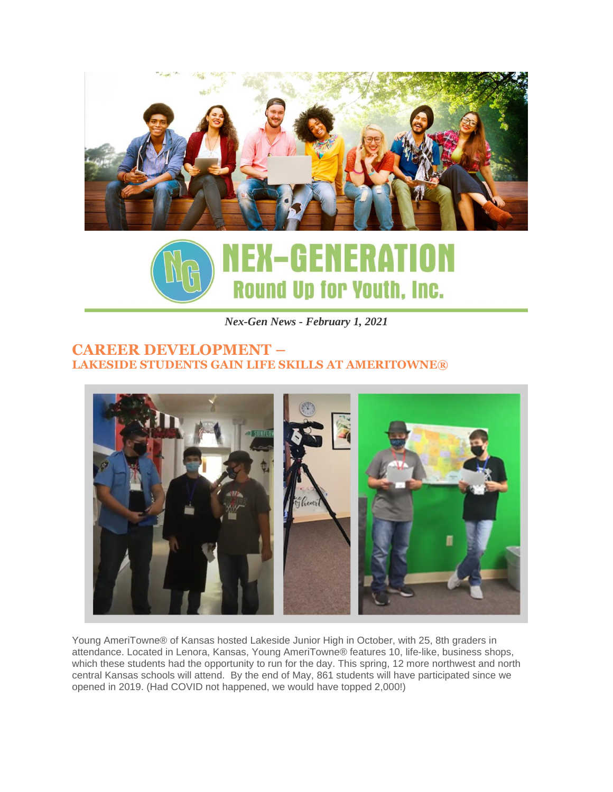



*Nex-Gen News - February 1, 2021*

### **CAREER DEVELOPMENT – LAKESIDE STUDENTS GAIN LIFE SKILLS AT AMERITOWNE®**



Young AmeriTowne® of Kansas hosted Lakeside Junior High in October, with 25, 8th graders in attendance. Located in Lenora, Kansas, Young AmeriTowne® features 10, life-like, business shops, which these students had the opportunity to run for the day. This spring, 12 more northwest and north central Kansas schools will attend. By the end of May, 861 students will have participated since we opened in 2019. (Had COVID not happened, we would have topped 2,000!)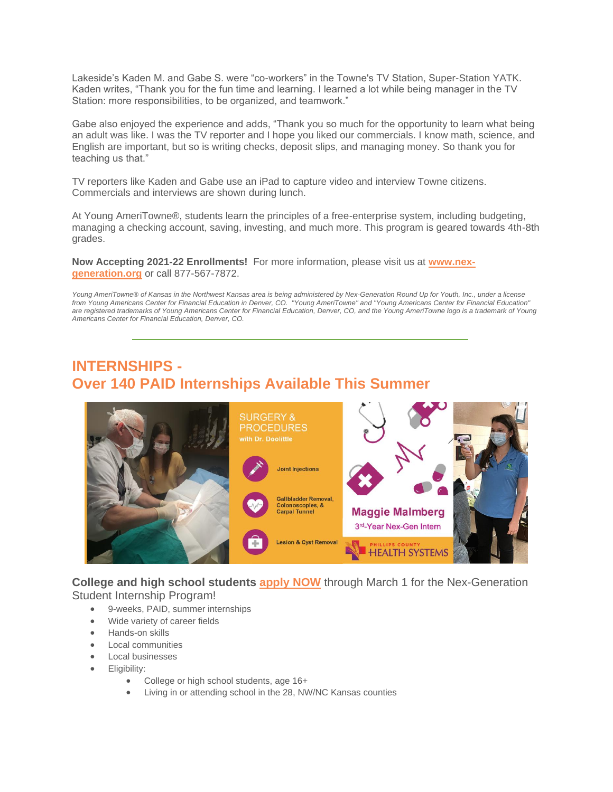Lakeside's Kaden M. and Gabe S. were "co-workers" in the Towne's TV Station, Super-Station YATK. Kaden writes, "Thank you for the fun time and learning. I learned a lot while being manager in the TV Station: more responsibilities, to be organized, and teamwork."

Gabe also enjoyed the experience and adds, "Thank you so much for the opportunity to learn what being an adult was like. I was the TV reporter and I hope you liked our commercials. I know math, science, and English are important, but so is writing checks, deposit slips, and managing money. So thank you for teaching us that."

TV reporters like Kaden and Gabe use an iPad to capture video and interview Towne citizens. Commercials and interviews are shown during lunch.

At Young AmeriTowne®, students learn the principles of a free-enterprise system, including budgeting, managing a checking account, saving, investing, and much more. This program is geared towards 4th-8th grades.

**Now Accepting 2021-22 Enrollments!** For more information, please visit us at **[www.nex](http://www.nex-generation.org/)[generation.org](http://www.nex-generation.org/)** or call 877-567-7872.

Young AmeriTowne® of Kansas in the Northwest Kansas area is being administered by Nex-Generation Round Up for Youth, Inc., under a license from Young Americans Center for Financial Education in Denver, CO. "Young AmeriTowne" and "Young Americans Center for Financial Education" are registered trademarks of Young Americans Center for Financial Education, Denver, CO, and the Young AmeriTowne logo is a trademark of Young *Americans Center for Financial Education, Denver, CO.*

# **INTERNSHIPS - Over 140 PAID Internships Available This Summer**



**College and high school students [apply](https://www.nex-generation.org/internships) NOW** through March 1 for the Nex-Generation Student Internship Program!

- 9-weeks, PAID, summer internships
- Wide variety of career fields
- Hands-on skills
- Local communities
- Local businesses
- Eligibility:
	- College or high school students, age 16+
	- Living in or attending school in the 28, NW/NC Kansas counties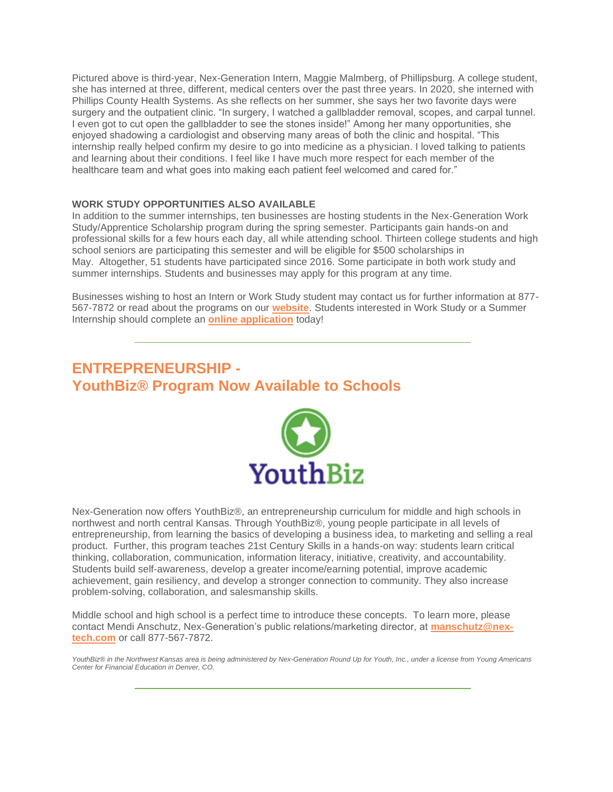Pictured above is third-year, Nex-Generation Intern, Maggie Malmberg, of Phillipsburg. A college student, she has interned at three, different, medical centers over the past three years. In 2020, she interned with Phillips County Health Systems. As she reflects on her summer, she says her two favorite days were surgery and the outpatient clinic. "In surgery, I watched a gallbladder removal, scopes, and carpal tunnel. I even got to cut open the gallbladder to see the stones inside!" Among her many opportunities, she enjoyed shadowing a cardiologist and observing many areas of both the clinic and hospital. "This internship really helped confirm my desire to go into medicine as a physician. I loved talking to patients and learning about their conditions. I feel like I have much more respect for each member of the healthcare team and what goes into making each patient feel welcomed and cared for."

#### **WORK STUDY OPPORTUNITIES ALSO AVAILABLE**

In addition to the summer internships, ten businesses are hosting students in the Nex-Generation Work Study/Apprentice Scholarship program during the spring semester. Participants gain hands-on and professional skills for a few hours each day, all while attending school. Thirteen college students and high school seniors are participating this semester and will be eligible for \$500 scholarships in May. Altogether, 51 students have participated since 2016. Some participate in both work study and summer internships. Students and businesses may apply for this program at any time.

Businesses wishing to host an Intern or Work Study student may contact us for further information at 877- 567-7872 or read about the programs on our **[website](https://www.nex-generation.org/internships)**. Students interested in Work Study or a Summer Internship should complete an **[online application](https://www.nex-generation.org/internships)** today!

## **ENTREPRENEURSHIP - YouthBiz® Program Now Available to Schools**



Nex-Generation now offers YouthBiz®, an entrepreneurship curriculum for middle and high schools in northwest and north central Kansas. Through YouthBiz®, young people participate in all levels of entrepreneurship, from learning the basics of developing a business idea, to marketing and selling a real product. Further, this program teaches 21st Century Skills in a hands-on way: students learn critical thinking, collaboration, communication, information literacy, initiative, creativity, and accountability. Students build self-awareness, develop a greater income/earning potential, improve academic achievement, gain resiliency, and develop a stronger connection to community. They also increase problem-solving, collaboration, and salesmanship skills.

Middle school and high school is a perfect time to introduce these concepts. To learn more, please contact Mendi Anschutz, Nex-Generation's public relations/marketing director, at **[manschutz@nex](mailto:manschutz@nex-tech.com)[tech.com](mailto:manschutz@nex-tech.com)** or call 877-567-7872.

YouthBiz® in the Northwest Kansas area is being administered by Nex-Generation Round Up for Youth, Inc., under a license from Young Americans *Center for Financial Education in Denver, CO.*